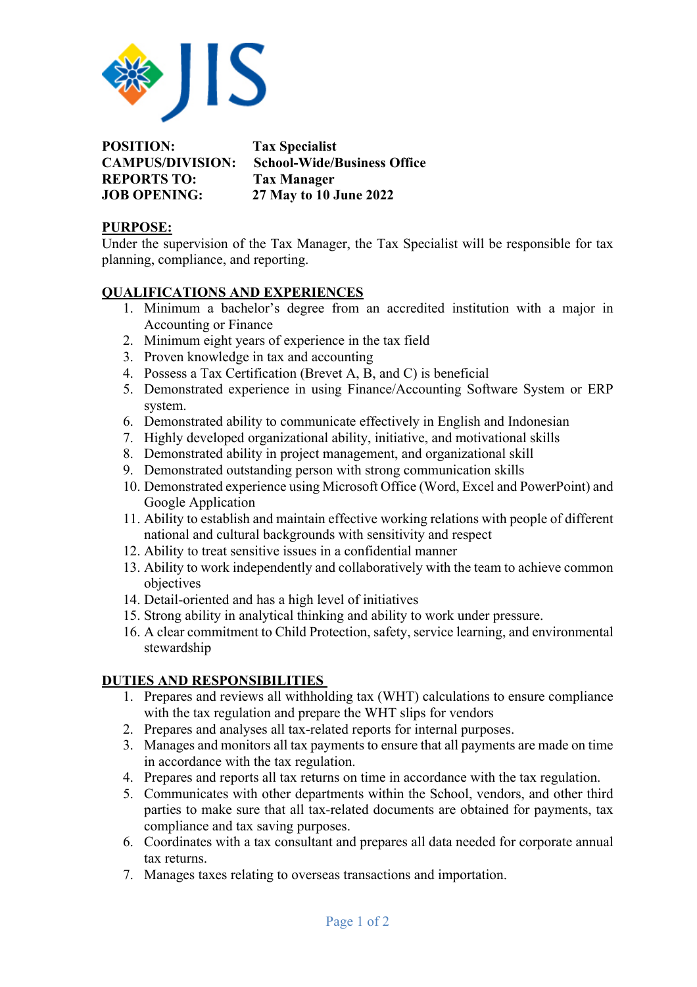

**POSITION: Tax Specialist CAMPUS/DIVISION: School-Wide/Business Office REPORTS TO: Tax Manager JOB OPENING: 27 May to 10 June 2022**

## **PURPOSE:**

Under the supervision of the Tax Manager, the Tax Specialist will be responsible for tax planning, compliance, and reporting.

## **QUALIFICATIONS AND EXPERIENCES**

- 1. Minimum a bachelor's degree from an accredited institution with a major in Accounting or Finance
- 2. Minimum eight years of experience in the tax field
- 3. Proven knowledge in tax and accounting
- 4. Possess a Tax Certification (Brevet A, B, and C) is beneficial
- 5. Demonstrated experience in using Finance/Accounting Software System or ERP system.
- 6. Demonstrated ability to communicate effectively in English and Indonesian
- 7. Highly developed organizational ability, initiative, and motivational skills
- 8. Demonstrated ability in project management, and organizational skill
- 9. Demonstrated outstanding person with strong communication skills
- 10. Demonstrated experience using Microsoft Office (Word, Excel and PowerPoint) and Google Application
- 11. Ability to establish and maintain effective working relations with people of different national and cultural backgrounds with sensitivity and respect
- 12. Ability to treat sensitive issues in a confidential manner
- 13. Ability to work independently and collaboratively with the team to achieve common objectives
- 14. Detail-oriented and has a high level of initiatives
- 15. Strong ability in analytical thinking and ability to work under pressure.
- 16. A clear commitment to Child Protection, safety, service learning, and environmental stewardship

## **DUTIES AND RESPONSIBILITIES**

- 1. Prepares and reviews all withholding tax (WHT) calculations to ensure compliance with the tax regulation and prepare the WHT slips for vendors
- 2. Prepares and analyses all tax-related reports for internal purposes.
- 3. Manages and monitors all tax payments to ensure that all payments are made on time in accordance with the tax regulation.
- 4. Prepares and reports all tax returns on time in accordance with the tax regulation.
- 5. Communicates with other departments within the School, vendors, and other third parties to make sure that all tax-related documents are obtained for payments, tax compliance and tax saving purposes.
- 6. Coordinates with a tax consultant and prepares all data needed for corporate annual tax returns.
- 7. Manages taxes relating to overseas transactions and importation.